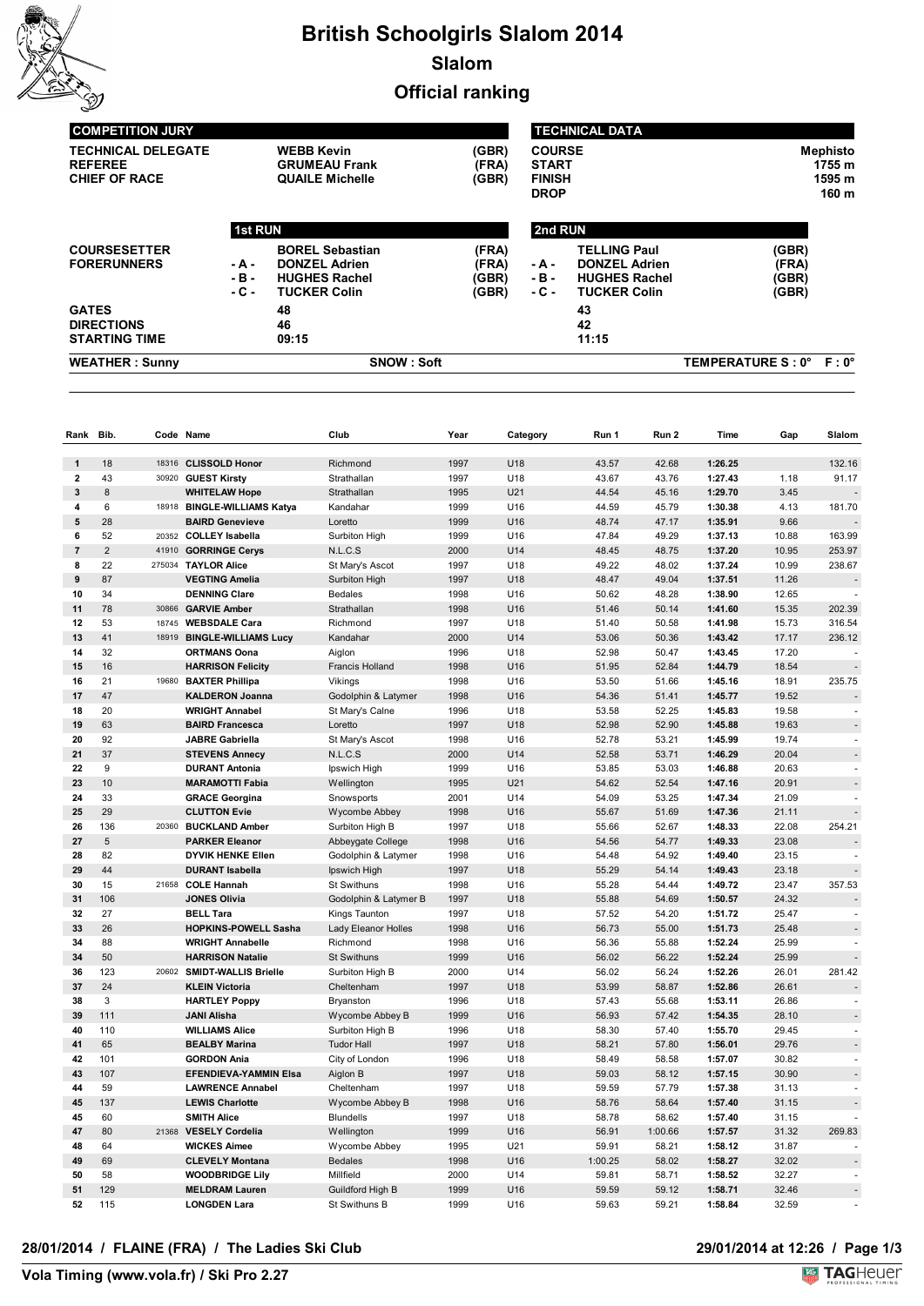

## **British Schoolgirls Slalom 2014 Slalom Official ranking**

| <b>WEATHER: Sunny</b>                          |                | <b>SNOW: Soft</b>      |       |               |                      | TEMPERATURE S: 0° F: 0° |        |  |
|------------------------------------------------|----------------|------------------------|-------|---------------|----------------------|-------------------------|--------|--|
| <b>STARTING TIME</b>                           |                | 09:15                  |       |               | 11:15                |                         |        |  |
| <b>DIRECTIONS</b>                              |                | 46                     |       |               | 42                   |                         |        |  |
| <b>GATES</b>                                   |                | 48                     |       |               | 43                   |                         |        |  |
|                                                | $-C -$         | <b>TUCKER Colin</b>    | (GBR) | $-C -$        | <b>TUCKER Colin</b>  | (GBR)                   |        |  |
|                                                | $-B -$         | <b>HUGHES Rachel</b>   | (GBR) | $-B -$        | <b>HUGHES Rachel</b> | (GBR)                   |        |  |
| <b>FORERUNNERS</b>                             | - A -          | <b>DONZEL Adrien</b>   | (FRA) | - A -         | <b>DONZEL Adrien</b> | (FRA)                   |        |  |
| <b>COURSESETTER</b>                            |                | <b>BOREL Sebastian</b> | (FRA) |               | <b>TELLING Paul</b>  | (GBR)                   |        |  |
|                                                | <b>1st RUN</b> |                        |       | 2nd RUN       |                      |                         |        |  |
|                                                |                |                        |       | <b>DROP</b>   |                      |                         | 160 m  |  |
| <b>CHIEF OF RACE</b>                           |                | <b>QUAILE Michelle</b> | (GBR) | <b>FINISH</b> |                      |                         | 1595 m |  |
| <b>REFEREE</b>                                 |                | <b>GRUMEAU Frank</b>   | (FRA) | <b>START</b>  |                      |                         | 1755 m |  |
| <b>WEBB Kevin</b><br><b>TECHNICAL DELEGATE</b> |                |                        | (GBR) | <b>COURSE</b> |                      | <b>Mephisto</b>         |        |  |
|                                                |                |                        |       |               |                      |                         |        |  |

| Rank Bib.               |                |       | Code Name                    | Club                   | Year | Category        | Run 1   | Run 2   | Time    | Gap   | Slalom                   |
|-------------------------|----------------|-------|------------------------------|------------------------|------|-----------------|---------|---------|---------|-------|--------------------------|
|                         |                |       |                              |                        |      |                 |         |         |         |       |                          |
| $\mathbf{1}$            | 18             |       | 18316 CLISSOLD Honor         | Richmond               | 1997 | U18             | 43.57   | 42.68   | 1:26.25 |       | 132.16                   |
| $\overline{2}$          | 43             |       | 30920 GUEST Kirsty           | Strathallan            | 1997 | U18             | 43.67   | 43.76   | 1:27.43 | 1.18  | 91.17                    |
| 3                       | 8              |       | <b>WHITELAW Hope</b>         | Strathallan            | 1995 | U21             | 44.54   | 45.16   | 1:29.70 | 3.45  |                          |
| 4                       | 6              |       | 18918 BINGLE-WILLIAMS Katya  | Kandahar               | 1999 | U16             | 44.59   | 45.79   | 1:30.38 | 4.13  | 181.70                   |
| 5                       | 28             |       | <b>BAIRD Genevieve</b>       | Loretto                | 1999 | U <sub>16</sub> | 48.74   | 47.17   | 1:35.91 | 9.66  |                          |
| 6                       | 52             |       | 20352 COLLEY Isabella        | Surbiton High          | 1999 | U16             | 47.84   | 49.29   | 1:37.13 | 10.88 | 163.99                   |
| $\overline{\mathbf{r}}$ | $\overline{2}$ |       | 41910 GORRINGE Cerys         | N.L.C.S                | 2000 | U14             | 48.45   | 48.75   | 1:37.20 | 10.95 | 253.97                   |
| 8                       | 22             |       | 275034 TAYLOR Alice          | St Mary's Ascot        | 1997 | U18             | 49.22   | 48.02   | 1:37.24 | 10.99 | 238.67                   |
| 9                       | 87             |       | <b>VEGTING Amelia</b>        | Surbiton High          | 1997 | U18             | 48.47   | 49.04   | 1:37.51 | 11.26 |                          |
| 10                      | 34             |       | <b>DENNING Clare</b>         | <b>Bedales</b>         | 1998 | U16             | 50.62   | 48.28   | 1:38.90 | 12.65 |                          |
| 11                      | 78             |       | 30866 GARVIE Amber           | Strathallan            | 1998 | U16             | 51.46   | 50.14   | 1:41.60 | 15.35 | 202.39                   |
| 12                      | 53             | 18745 | <b>WEBSDALE Cara</b>         | Richmond               | 1997 | U18             | 51.40   | 50.58   | 1:41.98 | 15.73 | 316.54                   |
| 13                      | 41             | 18919 | <b>BINGLE-WILLIAMS Lucy</b>  | Kandahar               | 2000 | U14             | 53.06   | 50.36   | 1:43.42 | 17.17 | 236.12                   |
| 14                      | 32             |       | ORTMANS Oona                 | Aiglon                 | 1996 | U18             | 52.98   | 50.47   | 1:43.45 | 17.20 | $\overline{\phantom{a}}$ |
| 15                      | 16             |       | <b>HARRISON Felicity</b>     | <b>Francis Holland</b> | 1998 | U <sub>16</sub> | 51.95   | 52.84   | 1:44.79 | 18.54 |                          |
| 16                      | 21             |       | 19680 BAXTER Phillipa        | Vikings                | 1998 | U <sub>16</sub> | 53.50   | 51.66   | 1:45.16 | 18.91 | 235.75                   |
| 17                      | 47             |       | <b>KALDERON Joanna</b>       | Godolphin & Latymer    | 1998 | U <sub>16</sub> | 54.36   | 51.41   | 1:45.77 | 19.52 |                          |
| 18                      | 20             |       | <b>WRIGHT Annabel</b>        | St Mary's Calne        | 1996 | U18             | 53.58   | 52.25   | 1:45.83 | 19.58 |                          |
| 19                      | 63             |       | <b>BAIRD Francesca</b>       | Loretto                | 1997 | U18             | 52.98   | 52.90   | 1:45.88 | 19.63 |                          |
| 20                      | 92             |       | <b>JABRE Gabriella</b>       | St Mary's Ascot        | 1998 | U16             | 52.78   | 53.21   | 1:45.99 | 19.74 |                          |
| 21                      | 37             |       | <b>STEVENS Annecy</b>        | N.L.C.S                | 2000 | U14             | 52.58   | 53.71   | 1:46.29 | 20.04 |                          |
| 22                      | 9              |       | <b>DURANT Antonia</b>        | Ipswich High           | 1999 | U16             | 53.85   | 53.03   | 1:46.88 | 20.63 |                          |
| 23                      | 10             |       | <b>MARAMOTTI Fabia</b>       | Wellington             | 1995 | U21             | 54.62   | 52.54   | 1:47.16 | 20.91 |                          |
| 24                      | 33             |       | <b>GRACE Georgina</b>        | Snowsports             | 2001 | U <sub>14</sub> | 54.09   | 53.25   | 1:47.34 | 21.09 |                          |
| 25                      | 29             |       | <b>CLUTTON Evie</b>          | Wycombe Abbey          | 1998 | U16             | 55.67   | 51.69   | 1:47.36 | 21.11 |                          |
| 26                      | 136            |       | 20360 BUCKLAND Amber         | Surbiton High B        | 1997 | U18             | 55.66   | 52.67   | 1:48.33 | 22.08 | 254.21                   |
| 27                      | 5              |       | <b>PARKER Eleanor</b>        | Abbeygate College      | 1998 | U16             | 54.56   | 54.77   | 1:49.33 | 23.08 |                          |
| 28                      | 82             |       | <b>DYVIK HENKE Ellen</b>     | Godolphin & Latymer    | 1998 | U <sub>16</sub> | 54.48   | 54.92   | 1:49.40 | 23.15 |                          |
| 29                      | 44             |       | <b>DURANT Isabella</b>       | Ipswich High           | 1997 | U18             | 55.29   | 54.14   | 1:49.43 | 23.18 |                          |
| 30                      | 15             |       | 21658 COLE Hannah            | St Swithuns            | 1998 | U <sub>16</sub> | 55.28   | 54.44   | 1:49.72 | 23.47 | 357.53                   |
| 31                      | 106            |       | <b>JONES Olivia</b>          | Godolphin & Latymer B  | 1997 | U18             | 55.88   | 54.69   | 1:50.57 | 24.32 |                          |
| 32                      | 27             |       | <b>BELL Tara</b>             | Kings Taunton          | 1997 | U18             | 57.52   | 54.20   | 1:51.72 | 25.47 |                          |
| 33                      | 26             |       | <b>HOPKINS POWELL Sasha</b>  | Lady Eleanor Holles    | 1998 | U16             | 56.73   | 55.00   | 1:51.73 | 25.48 |                          |
| 34                      | 88             |       | <b>WRIGHT Annabelle</b>      | Richmond               | 1998 | U16             | 56.36   | 55.88   | 1:52.24 | 25.99 |                          |
| 34                      | 50             |       | <b>HARRISON Natalie</b>      | St Swithuns            | 1999 | U16             | 56.02   | 56.22   | 1:52.24 | 25.99 |                          |
| 36                      | 123            |       | 20602 SMIDT-WALLIS Brielle   | Surbiton High B        | 2000 | U14             | 56.02   | 56.24   | 1:52.26 | 26.01 | 281.42                   |
| 37                      | 24             |       | <b>KLEIN Victoria</b>        | Cheltenham             | 1997 | U18             | 53.99   | 58.87   | 1:52.86 | 26.61 |                          |
| 38                      | 3              |       | <b>HARTLEY Poppy</b>         | Bryanston              | 1996 | U18             | 57.43   | 55.68   | 1:53.11 | 26.86 | ä,                       |
| 39                      | 111            |       | <b>JANI Alisha</b>           | Wycombe Abbey B        | 1999 | U <sub>16</sub> | 56.93   | 57.42   | 1:54.35 | 28.10 |                          |
| 40                      | 110            |       | <b>WILLIAMS Alice</b>        | Surbiton High B        | 1996 | U18             | 58.30   | 57.40   | 1:55.70 | 29.45 |                          |
| 41                      | 65             |       | <b>BEALBY Marina</b>         | <b>Tudor Hall</b>      | 1997 | U18             | 58.21   | 57.80   | 1:56.01 | 29.76 |                          |
| 42                      | 101            |       | <b>GORDON Ania</b>           | City of London         | 1996 | U18             | 58.49   | 58.58   | 1:57.07 | 30.82 | $\sim$                   |
| 43                      | 107            |       | <b>EFENDIEVA YAMMIN Elsa</b> | Aiglon B               | 1997 | U18             | 59.03   | 58.12   | 1:57.15 | 30.90 |                          |
| 44                      | 59             |       | <b>LAWRENCE Annabel</b>      | Cheltenham             | 1997 | U18             | 59.59   | 57.79   | 1:57.38 | 31.13 | $\sim$                   |
| 45                      | 137            |       | <b>LEWIS Charlotte</b>       | Wycombe Abbey B        | 1998 | U16             | 58.76   | 58.64   | 1:57.40 | 31.15 |                          |
| 45                      | 60             |       | <b>SMITH Alice</b>           | <b>Blundells</b>       | 1997 | U18             | 58.78   | 58.62   | 1:57.40 | 31.15 |                          |
| 47                      | 80             |       | 21368 VESELY Cordelia        | Wellington             | 1999 | U16             | 56.91   | 1:00.66 | 1:57.57 | 31.32 | 269.83                   |
| 48                      | 64             |       | <b>WICKES Aimee</b>          | Wycombe Abbey          | 1995 | U21             | 59.91   | 58.21   | 1:58.12 | 31.87 | ÷                        |
| 49                      | 69             |       | <b>CLEVELY Montana</b>       | <b>Bedales</b>         | 1998 | U16             | 1:00.25 | 58.02   | 1:58.27 | 32.02 |                          |
| 50                      | 58             |       | <b>WOODBRIDGE Lily</b>       | Millfield              | 2000 | U14             | 59.81   | 58.71   | 1:58.52 | 32.27 |                          |
| 51                      | 129            |       | <b>MELDRAM Lauren</b>        | Guildford High B       | 1999 | U16             | 59.59   | 59.12   | 1:58.71 | 32.46 |                          |
| 52                      | 115            |       | <b>LONGDEN Lara</b>          | St Swithuns B          | 1999 | U <sub>16</sub> | 59.63   | 59.21   | 1:58.84 | 32.59 |                          |

# **29/01/2014 at 12:26 / Page 1/3<br>
<b>Volta** TAGHeuer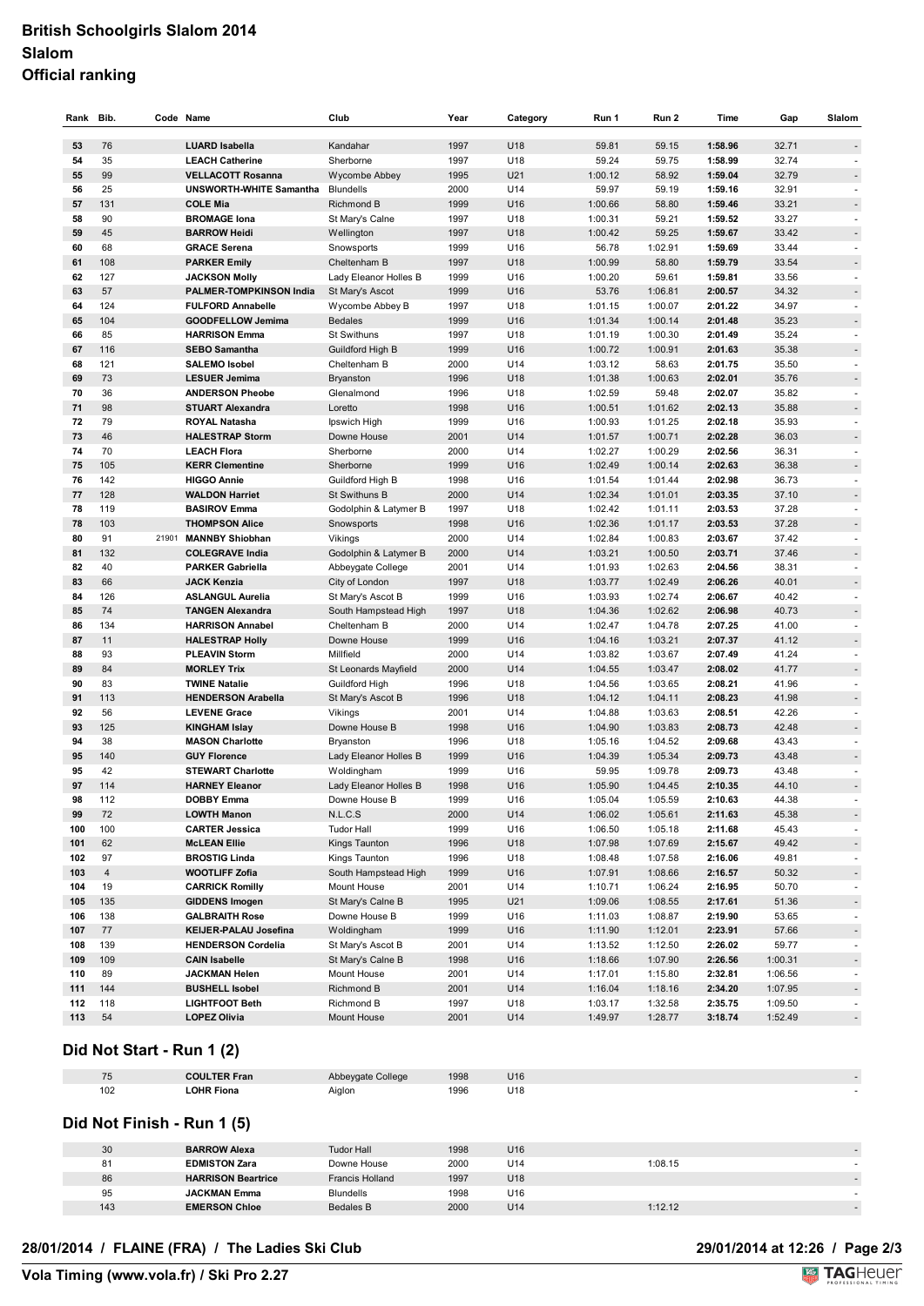### **British Schoolgirls Slalom 2014 Slalom Official ranking**

| Rank     | Bib.           |       | Code Name                                  | Club                              | Year         | Category   | Run 1              | Run 2              | Time               | Gap            | Slalom                   |
|----------|----------------|-------|--------------------------------------------|-----------------------------------|--------------|------------|--------------------|--------------------|--------------------|----------------|--------------------------|
| 53       | 76             |       | <b>LUARD Isabella</b>                      | Kandahar                          | 1997         | U18        | 59.81              | 59.15              | 1:58.96            | 32.71          |                          |
| 54       | 35             |       | <b>LEACH Catherine</b>                     | Sherborne                         | 1997         | U18        | 59.24              | 59.75              | 1:58.99            | 32.74          |                          |
| 55       | 99             |       | <b>VELLACOTT Rosanna</b>                   | Wycombe Abbey                     | 1995         | U21        | 1:00.12            | 58.92              | 1:59.04            | 32.79          |                          |
| 56       | 25             |       | <b>UNSWORTH WHITE Samantha</b>             | <b>Blundells</b>                  | 2000         | U14        | 59.97              | 59.19              | 1:59.16            | 32.91          |                          |
| 57       | 131            |       | <b>COLE Mia</b>                            | Richmond B                        | 1999         | U16        | 1:00.66            | 58.80              | 1:59.46            | 33.21          | -                        |
| 58       | 90             |       | <b>BROMAGE lona</b>                        | St Mary's Calne                   | 1997         | U18        | 1:00.31            | 59.21              | 1:59.52            | 33.27          | $\overline{\phantom{a}}$ |
| 59       | 45             |       | <b>BARROW Heidi</b>                        | Wellington                        | 1997         | U18        | 1:00.42            | 59.25              | 1:59.67            | 33.42          |                          |
| 60       | 68             |       | <b>GRACE Serena</b>                        | Snowsports                        | 1999         | U16        | 56.78              | 1:02.91            | 1:59.69            | 33.44          |                          |
| 61       | 108            |       | <b>PARKER Emily</b>                        | Cheltenham B                      | 1997         | U18        | 1:00.99            | 58.80              | 1:59.79            | 33.54          | $\overline{a}$           |
| 62       | 127            |       | <b>JACKSON Molly</b>                       | Lady Eleanor Holles B             | 1999         | U16        | 1:00.20            | 59.61              | 1:59.81            | 33.56          |                          |
| 63       | 57             |       | <b>PALMER-TOMPKINSON India</b>             | St Mary's Ascot                   | 1999         | U16        | 53.76              | 1:06.81            | 2:00.57            | 34.32          |                          |
| 64       | 124            |       | <b>FULFORD Annabelle</b>                   | Wycombe Abbey B                   | 1997         | U18        | 1:01.15            | 1:00.07            | 2:01.22            | 34.97          |                          |
| 65       | 104            |       | GOODFELLOW Jemima                          | <b>Bedales</b>                    | 1999         | U16        | 1:01.34            | 1:00.14            | 2:01.48            | 35.23          |                          |
| 66       | 85             |       | <b>HARRISON Emma</b>                       | <b>St Swithuns</b>                | 1997         | U18        | 1:01.19            | 1:00.30            | 2:01.49            | 35.24          | $\overline{\phantom{a}}$ |
| 67       | 116            |       | <b>SEBO Samantha</b>                       | Guildford High B                  | 1999         | U16        | 1:00.72            | 1:00.91            | 2:01.63            | 35.38          |                          |
| 68       | 121            |       | <b>SALEMO Isobel</b>                       | Cheltenham B                      | 2000         | U14        | 1:03.12            | 58.63              | 2:01.75            | 35.50          | L,                       |
| 69       | 73             |       | <b>LESUER Jemima</b>                       | <b>Bryanston</b>                  | 1996         | U18        | 1:01.38            | 1:00.63            | 2:02.01            | 35.76          |                          |
| 70       | 36             |       | <b>ANDERSON Pheobe</b>                     | Glenalmond                        | 1996         | U18        | 1:02.59            | 59.48              | 2:02.07            | 35.82          | ä,                       |
| 71       | 98             |       | <b>STUART Alexandra</b>                    | Loretto                           | 1998         | U16        | 1:00.51            | 1:01.62            | 2:02.13            | 35.88          |                          |
| 72       | 79             |       | ROYAL Natasha                              | Ipswich High                      | 1999         | U16        | 1:00.93            | 1:01.25            | 2:02.18            | 35.93          |                          |
| 73       | 46             |       | <b>HALESTRAP Storm</b>                     | Downe House                       | 2001         | U14        | 1:01.57            | 1:00.71            | 2:02.28            | 36.03          |                          |
| 74       | 70             |       | <b>LEACH Flora</b>                         | Sherborne                         | 2000         | U14        | 1:02.27            | 1:00.29            | 2:02.56            | 36.31          |                          |
| 75       | 105            |       | <b>KERR Clementine</b>                     | Sherborne                         | 1999         | U16        | 1:02.49            | 1:00.14            | 2:02.63            | 36.38          | -                        |
| 76       | 142            |       | <b>HIGGO Annie</b>                         | Guildford High B                  | 1998         | U16        | 1:01.54            | 1:01.44            | 2:02.98            | 36.73          |                          |
| 77       | 128            |       | <b>WALDON Harriet</b>                      | St Swithuns B                     | 2000         | U14        | 1:02.34            | 1:01.01            | 2:03.35            | 37.10          | $\overline{a}$           |
| 78       | 119            |       | <b>BASIROV Emma</b>                        | Godolphin & Latymer B             | 1997         | U18        | 1:02.42            | 1:01.11            | 2:03.53            | 37.28          |                          |
| 78       | 103            |       | <b>THOMPSON Alice</b>                      | Snowsports                        | 1998         | U16        | 1:02.36            | 1:01.17            | 2:03.53            | 37.28          |                          |
| 80       | 91             | 21901 | <b>MANNBY Shiobhan</b>                     | Vikings                           | 2000         | U14        | 1:02.84            | 1:00.83            | 2:03.67            | 37.42          |                          |
| 81       | 132            |       | <b>COLEGRAVE India</b>                     | Godolphin & Latymer B             | 2000         | U14        | 1:03.21            | 1:00.50            | 2:03.71            | 37.46          | L                        |
| 82       | 40             |       | <b>PARKER Gabriella</b>                    | Abbeygate College                 | 2001         | U14        | 1:01.93            | 1:02.63            | 2:04.56            | 38.31          | ÷,                       |
| 83       | 66             |       | <b>JACK Kenzia</b>                         | City of London                    | 1997         | U18        | 1:03.77            | 1:02.49            | 2:06.26            | 40.01          |                          |
| 84       | 126            |       | <b>ASLANGUL Aurelia</b>                    | St Mary's Ascot B                 | 1999         | U16        | 1:03.93            | 1:02.74            | 2:06.67            | 40.42          | ä,                       |
| 85       | 74             |       | <b>TANGEN Alexandra</b>                    | South Hampstead High              | 1997         | U18        | 1:04.36            | 1:02.62            | 2:06.98            | 40.73          |                          |
| 86       | 134            |       | <b>HARRISON Annabel</b>                    | Cheltenham B                      | 2000         | U14        | 1:02.47            | 1:04.78            | 2:07.25            | 41.00          |                          |
| 87       | 11             |       | <b>HALESTRAP Holly</b>                     | Downe House                       | 1999         | U16        | 1:04.16            | 1:03.21            | 2:07.37            | 41.12          |                          |
| 88<br>89 | 93<br>84       |       | <b>PLEAVIN Storm</b><br><b>MORLEY Trix</b> | Millfield<br>St Leonards Mayfield | 2000<br>2000 | U14<br>U14 | 1:03.82<br>1:04.55 | 1:03.67<br>1:03.47 | 2:07.49<br>2:08.02 | 41.24<br>41.77 |                          |
| 90       | 83             |       | <b>TWINE Natalie</b>                       | Guildford High                    | 1996         | U18        | 1:04.56            | 1:03.65            | 2:08.21            | 41.96          | -<br>ä,                  |
| 91       | 113            |       | <b>HENDERSON Arabella</b>                  | St Mary's Ascot B                 | 1996         | U18        | 1:04.12            | 1:04.11            | 2:08.23            | 41.98          |                          |
| 92       | 56             |       | <b>LEVENE Grace</b>                        | Vikings                           | 2001         | U14        | 1:04.88            | 1:03.63            | 2:08.51            | 42.26          | L,                       |
| 93       | 125            |       | <b>KINGHAM Islay</b>                       | Downe House B                     | 1998         | U16        | 1:04.90            | 1:03.83            | 2:08.73            | 42.48          | $\overline{a}$           |
| 94       | 38             |       | <b>MASON Charlotte</b>                     | Bryanston                         | 1996         | U18        | 1:05.16            | 1:04.52            | 2:09.68            | 43.43          |                          |
| 95       | 140            |       | <b>GUY Florence</b>                        | Lady Eleanor Holles B             | 1999         | U16        | 1:04.39            | 1:05.34            | 2:09.73            | 43.48          |                          |
| 95       | 42             |       | <b>STEWART Charlotte</b>                   | Woldingham                        | 1999         | U16        | 59.95              | 1:09.78            | 2:09.73            | 43.48          |                          |
| 97       | 114            |       | <b>HARNEY Eleanor</b>                      | Lady Eleanor Holles B             | 1998         | U16        | 1:05.90            | 1:04.45            | 2:10.35            | 44.10          |                          |
| 98       | 112            |       | DOBBY Emma                                 | Downe House B                     | 1999         | U16        | 1:05.04            | 1:05.59            | 2:10.63            | 44.38          | $\sim$                   |
| 99       | 72             |       | <b>LOWTH Manon</b>                         | N.L.C.S                           | 2000         | U14        | 1:06.02            | 1:05.61            | 2:11.63            | 45.38          | $\frac{1}{2}$            |
| 100      | 100            |       | <b>CARTER Jessica</b>                      | <b>Tudor Hall</b>                 | 1999         | U16        | 1:06.50            | 1:05.18            | 2:11.68            | 45.43          | L,                       |
| 101      | 62             |       | <b>McLEAN Ellie</b>                        | Kings Taunton                     | 1996         | U18        | 1:07.98            | 1:07.69            | 2:15.67            | 49.42          |                          |
| 102      | 97             |       | <b>BROSTIG Linda</b>                       | Kings Taunton                     | 1996         | U18        | 1:08.48            | 1:07.58            | 2:16.06            | 49.81          |                          |
| 103      | $\overline{4}$ |       | <b>WOOTLIFF Zofia</b>                      | South Hampstead High              | 1999         | U16        | 1:07.91            | 1:08.66            | 2:16.57            | 50.32          |                          |
| 104      | 19             |       | <b>CARRICK Romilly</b>                     | Mount House                       | 2001         | U14        | 1:10.71            | 1:06.24            | 2:16.95            | 50.70          |                          |
| 105      | 135            |       | <b>GIDDENS Imogen</b>                      | St Mary's Calne B                 | 1995         | U21        | 1:09.06            | 1:08.55            | 2:17.61            | 51.36          |                          |
| 106      | 138            |       | <b>GALBRAITH Rose</b>                      | Downe House B                     | 1999         | U16        | 1:11.03            | 1:08.87            | 2:19.90            | 53.65          |                          |
| 107      | 77             |       | KEIJER-PALAU Josefina                      | Woldingham                        | 1999         | U16        | 1:11.90            | 1:12.01            | 2:23.91            | 57.66          | $\ddot{\phantom{0}}$     |
| 108      | 139            |       | <b>HENDERSON Cordelia</b>                  | St Mary's Ascot B                 | 2001         | U14        | 1:13.52            | 1:12.50            | 2:26.02            | 59.77          |                          |
| 109      | 109            |       | <b>CAIN Isabelle</b>                       | St Mary's Calne B                 | 1998         | U16        | 1:18.66            | 1:07.90            | 2:26.56            | 1:00.31        | $\overline{\phantom{a}}$ |
| 110      | 89             |       | <b>JACKMAN Helen</b>                       | Mount House                       | 2001         | U14        | 1:17.01            | 1:15.80            | 2:32.81            | 1:06.56        |                          |
| 111      | 144            |       | <b>BUSHELL Isobel</b>                      | Richmond B                        | 2001         | U14        | 1:16.04            | 1:18.16            | 2:34.20            | 1:07.95        |                          |
| 112      | 118            |       | <b>LIGHTFOOT Beth</b>                      | Richmond B                        | 1997         | U18        | 1:03.17            | 1:32.58            | 2:35.75            | 1:09.50        |                          |
| 113      | 54             |       | <b>LOPEZ Olivia</b>                        | Mount House                       | 2001         | U14        | 1:49.97            | 1:28.77            | 3:18.74            | 1:52.49        | L,                       |

#### **Did Not Start - Run 1 (2)**

| $-$<br>ັບ | <b>COULTER Fran</b> | Abbeygate College | 1998 | U16 |  |  |
|-----------|---------------------|-------------------|------|-----|--|--|
| 102       | <b>LOHR Fiona</b>   | Aiglon            | 1996 | U18 |  |  |

#### **Did Not Finish - Run 1 (5)**

| 30  | <b>BARROW Alexa</b>       | <b>Tudor Hall</b>      | 1998 | U16             |         |  |
|-----|---------------------------|------------------------|------|-----------------|---------|--|
| 81  | <b>EDMISTON Zara</b>      | Downe House            | 2000 | U <sub>14</sub> | 1:08.15 |  |
| 86  | <b>HARRISON Beartrice</b> | <b>Francis Holland</b> | 1997 | U18             |         |  |
| 95  | <b>JACKMAN Emma</b>       | <b>Blundells</b>       | 1998 | U <sub>16</sub> |         |  |
| 143 | <b>EMERSON Chloe</b>      | <b>Bedales B</b>       | 2000 | U14             | 1:12.12 |  |
|     |                           |                        |      |                 |         |  |

# **29/01/2014 at 12:26 / Page 2/3<br>
<b>Volta** TAGHeuer